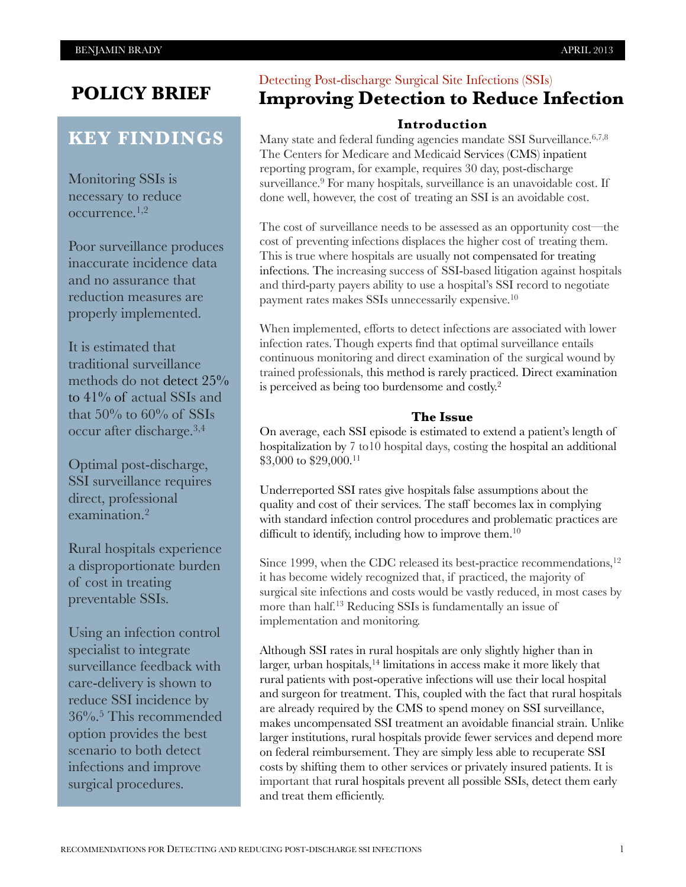## **POLICY BRIEF**

## **KEY FINDINGS**

Monitoring SSIs is necessary to reduce occurrence.1,2

Poor surveillance produces inaccurate incidence data and no assurance that reduction measures are properly implemented.

It is estimated that traditional surveillance methods do not detect 25% to 41% of actual SSIs and that  $50\%$  to  $60\%$  of SSIs occur after discharge.3,4

Optimal post-discharge, SSI surveillance requires direct, professional examination.2

Rural hospitals experience a disproportionate burden of cost in treating preventable SSIs.

Using an infection control specialist to integrate surveillance feedback with care-delivery is shown to reduce SSI incidence by 36%.5 This recommended option provides the best scenario to both detect infections and improve surgical procedures.

### Detecting Post-discharge Surgical Site Infections (SSIs) **Improving Detection to Reduce Infection**

#### **Introduction**

Many state and federal funding agencies mandate SSI Surveillance.<sup>6,7,8</sup> The Centers for Medicare and Medicaid Services (CMS) inpatient reporting program, for example, requires 30 day, post-discharge surveillance.<sup>9</sup> For many hospitals, surveillance is an unavoidable cost. If done well, however, the cost of treating an SSI is an avoidable cost.

The cost of surveillance needs to be assessed as an opportunity cost—the cost of preventing infections displaces the higher cost of treating them. This is true where hospitals are usually not compensated for treating infections. The increasing success of SSI-based litigation against hospitals and third-party payers ability to use a hospital's SSI record to negotiate payment rates makes SSIs unnecessarily expensive.10

When implemented, efforts to detect infections are associated with lower infection rates.Though experts find that optimal surveillance entails continuous monitoring and direct examination of the surgical wound by trained professionals, this method is rarely practiced. Direct examination is perceived as being too burdensome and costly.2

#### **The Issue**

On average, each SSI episode is estimated to extend a patient's length of hospitalization by 7 to10 hospital days, costing the hospital an additional \$3,000 to \$29,000.<sup>11</sup>

Underreported SSI rates give hospitals false assumptions about the quality and cost of their services. The staff becomes lax in complying with standard infection control procedures and problematic practices are difficult to identify, including how to improve them.<sup>10</sup>

Since 1999, when the CDC released its best-practice recommendations,<sup>12</sup> it has become widely recognized that, if practiced, the majority of surgical site infections and costs would be vastly reduced, in most cases by more than half.13 Reducing SSIs is fundamentally an issue of implementation and monitoring.

Although SSI rates in rural hospitals are only slightly higher than in larger, urban hospitals,<sup>14</sup> limitations in access make it more likely that rural patients with post-operative infections will use their local hospital and surgeon for treatment. This, coupled with the fact that rural hospitals are already required by the CMS to spend money on SSI surveillance, makes uncompensated SSI treatment an avoidable financial strain. Unlike larger institutions, rural hospitals provide fewer services and depend more on federal reimbursement. They are simply less able to recuperate SSI costs by shifting them to other services or privately insured patients. It is important that rural hospitals prevent all possible SSIs, detect them early and treat them efficiently.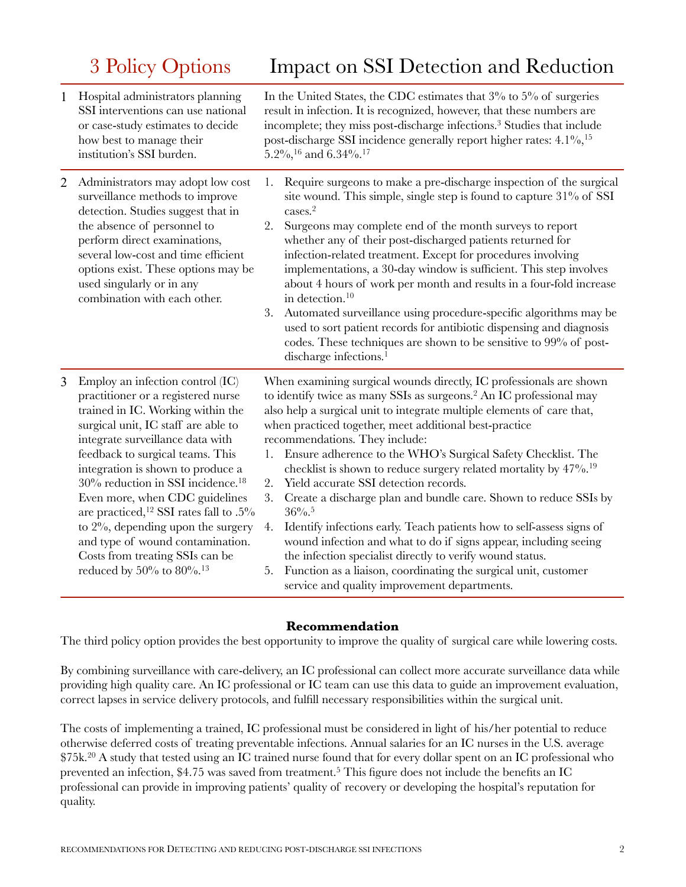# 3 Policy Options

|  |  | Impact on SSI Detection and Reduction |
|--|--|---------------------------------------|
|--|--|---------------------------------------|

| $\mathbf{1}$   | Hospital administrators planning<br>SSI interventions can use national<br>or case-study estimates to decide<br>how best to manage their<br>institution's SSI burden.                                                                                                                                                                                                                                                                                                                                                                                                    | In the United States, the CDC estimates that $3\%$ to $5\%$ of surgeries<br>result in infection. It is recognized, however, that these numbers are<br>incomplete; they miss post-discharge infections. <sup>3</sup> Studies that include<br>post-discharge SSI incidence generally report higher rates: 4.1%, <sup>15</sup><br>5.2%, $^{16}$ and 6.34%. <sup>17</sup>                                                                                                                                                                                                                                                                                                                                                                                                                                                                                                                                                                                                         |
|----------------|-------------------------------------------------------------------------------------------------------------------------------------------------------------------------------------------------------------------------------------------------------------------------------------------------------------------------------------------------------------------------------------------------------------------------------------------------------------------------------------------------------------------------------------------------------------------------|-------------------------------------------------------------------------------------------------------------------------------------------------------------------------------------------------------------------------------------------------------------------------------------------------------------------------------------------------------------------------------------------------------------------------------------------------------------------------------------------------------------------------------------------------------------------------------------------------------------------------------------------------------------------------------------------------------------------------------------------------------------------------------------------------------------------------------------------------------------------------------------------------------------------------------------------------------------------------------|
| $\overline{2}$ | Administrators may adopt low cost<br>surveillance methods to improve<br>detection. Studies suggest that in<br>the absence of personnel to<br>perform direct examinations,<br>several low-cost and time efficient<br>options exist. These options may be<br>used singularly or in any<br>combination with each other.                                                                                                                                                                                                                                                    | Require surgeons to make a pre-discharge inspection of the surgical<br>1.<br>site wound. This simple, single step is found to capture 31% of SSI<br>cases. <sup>2</sup><br>2.<br>Surgeons may complete end of the month surveys to report<br>whether any of their post-discharged patients returned for<br>infection-related treatment. Except for procedures involving<br>implementations, a 30-day window is sufficient. This step involves<br>about 4 hours of work per month and results in a four-fold increase<br>in detection. <sup>10</sup><br>3.<br>Automated surveillance using procedure-specific algorithms may be<br>used to sort patient records for antibiotic dispensing and diagnosis<br>codes. These techniques are shown to be sensitive to 99% of post-<br>discharge infections. <sup>1</sup>                                                                                                                                                             |
| 3              | Employ an infection control (IC)<br>practitioner or a registered nurse<br>trained in IC. Working within the<br>surgical unit, IC staff are able to<br>integrate surveillance data with<br>feedback to surgical teams. This<br>integration is shown to produce a<br>30% reduction in SSI incidence. <sup>18</sup><br>Even more, when CDC guidelines<br>are practiced, <sup>12</sup> SSI rates fall to .5%<br>to $2\%$ , depending upon the surgery<br>and type of wound contamination.<br>Costs from treating SSIs can be<br>reduced by $50\%$ to $80\%$ . <sup>13</sup> | When examining surgical wounds directly, IC professionals are shown<br>to identify twice as many SSIs as surgeons. <sup>2</sup> An IC professional may<br>also help a surgical unit to integrate multiple elements of care that,<br>when practiced together, meet additional best-practice<br>recommendations. They include:<br>Ensure adherence to the WHO's Surgical Safety Checklist. The<br>1.<br>checklist is shown to reduce surgery related mortality by 47%. <sup>19</sup><br>Yield accurate SSI detection records.<br>2.<br>3.<br>Create a discharge plan and bundle care. Shown to reduce SSIs by<br>$36\%$ . <sup>5</sup><br>Identify infections early. Teach patients how to self-assess signs of<br>4.<br>wound infection and what to do if signs appear, including seeing<br>the infection specialist directly to verify wound status.<br>Function as a liaison, coordinating the surgical unit, customer<br>5.<br>service and quality improvement departments. |

#### **Recommendation**

The third policy option provides the best opportunity to improve the quality of surgical care while lowering costs.

By combining surveillance with care-delivery, an IC professional can collect more accurate surveillance data while providing high quality care. An IC professional or IC team can use this data to guide an improvement evaluation, correct lapses in service delivery protocols, and fulfill necessary responsibilities within the surgical unit.

The costs of implementing a trained, IC professional must be considered in light of his/her potential to reduce otherwise deferred costs of treating preventable infections. Annual salaries for an IC nurses in the U.S. average \$75k.20 A study that tested using an IC trained nurse found that for every dollar spent on an IC professional who prevented an infection, \$4.75 was saved from treatment.5 This figure does not include the benefits an IC professional can provide in improving patients' quality of recovery or developing the hospital's reputation for quality.